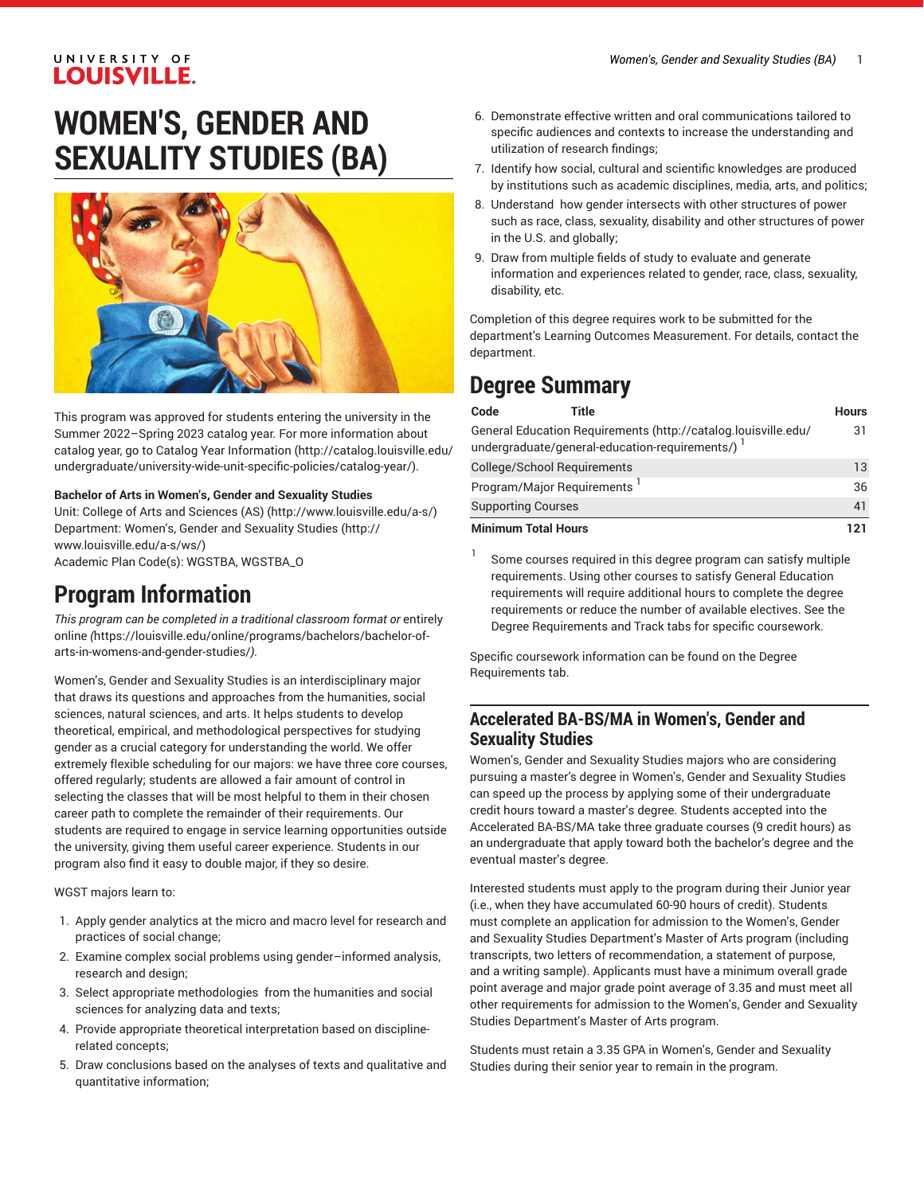# **WOMEN'S, GENDER AND SEXUALITY STUDIES (BA)**



This program was approved for students entering the university in the Summer 2022–Spring 2023 catalog year. For more information about catalog year, go to Catalog Year [Information](http://catalog.louisville.edu/undergraduate/university-wide-unit-specific-policies/catalog-year/) ([http://catalog.louisville.edu/](http://catalog.louisville.edu/undergraduate/university-wide-unit-specific-policies/catalog-year/) [undergraduate/university-wide-unit-specific-policies/catalog-year/](http://catalog.louisville.edu/undergraduate/university-wide-unit-specific-policies/catalog-year/)).

#### **Bachelor of Arts in Women's, Gender and Sexuality Studies**

Unit: College of Arts and [Sciences](http://www.louisville.edu/a-s/) (AS) (<http://www.louisville.edu/a-s/>) Department: [Women's,](http://www.louisville.edu/a-s/ws/) Gender and Sexuality Studies ([http://](http://www.louisville.edu/a-s/ws/) [www.louisville.edu/a-s/ws/\)](http://www.louisville.edu/a-s/ws/) Academic Plan Code(s): WGSTBA, WGSTBA\_O

### **Program Information**

*This program can be completed in a traditional classroom format or* [entirely](https://louisville.edu/online/programs/bachelors/bachelor-of-arts-in-womens-and-gender-studies/) [online](https://louisville.edu/online/programs/bachelors/bachelor-of-arts-in-womens-and-gender-studies/) *(*[https://louisville.edu/online/programs/bachelors/bachelor-of](https://louisville.edu/online/programs/bachelors/bachelor-of-arts-in-womens-and-gender-studies/)[arts-in-womens-and-gender-studies/](https://louisville.edu/online/programs/bachelors/bachelor-of-arts-in-womens-and-gender-studies/)*).*

Women's, Gender and Sexuality Studies is an interdisciplinary major that draws its questions and approaches from the humanities, social sciences, natural sciences, and arts. It helps students to develop theoretical, empirical, and methodological perspectives for studying gender as a crucial category for understanding the world. We offer extremely flexible scheduling for our majors: we have three core courses, offered regularly; students are allowed a fair amount of control in selecting the classes that will be most helpful to them in their chosen career path to complete the remainder of their requirements. Our students are required to engage in service learning opportunities outside the university, giving them useful career experience. Students in our program also find it easy to double major, if they so desire.

#### WGST majors learn to:

- 1. Apply gender analytics at the micro and macro level for research and practices of social change;
- 2. Examine complex social problems using gender–informed analysis, research and design;
- 3. Select appropriate methodologies from the humanities and social sciences for analyzing data and texts;
- 4. Provide appropriate theoretical interpretation based on disciplinerelated concepts;
- 5. Draw conclusions based on the analyses of texts and qualitative and quantitative information;
- 6. Demonstrate effective written and oral communications tailored to specific audiences and contexts to increase the understanding and utilization of research findings;
- 7. Identify how social, cultural and scientific knowledges are produced by institutions such as academic disciplines, media, arts, and politics;
- 8. Understand how gender intersects with other structures of power such as race, class, sexuality, disability and other structures of power in the U.S. and globally;
- 9. Draw from multiple fields of study to evaluate and generate information and experiences related to gender, race, class, sexuality, disability, etc.

Completion of this degree requires work to be submitted for the department's Learning Outcomes Measurement. For details, contact the department.

# **Degree Summary**

| Code                       | Title                       |                                                                                                                    | <b>Hours</b> |
|----------------------------|-----------------------------|--------------------------------------------------------------------------------------------------------------------|--------------|
|                            |                             | General Education Requirements (http://catalog.louisville.edu/<br>undergraduate/general-education-requirements/) 1 | 31           |
|                            | College/School Requirements |                                                                                                                    | 13           |
|                            | Program/Major Requirements  |                                                                                                                    | 36           |
| <b>Supporting Courses</b>  |                             |                                                                                                                    | 41           |
| <b>Minimum Total Hours</b> |                             |                                                                                                                    | 121          |

1 Some courses required in this degree program can satisfy multiple requirements. Using other courses to satisfy General Education requirements will require additional hours to complete the degree requirements or reduce the number of available electives. See the Degree Requirements and Track tabs for specific coursework.

Specific coursework information can be found on the Degree Requirements tab.

### **Accelerated BA-BS/MA in Women's, Gender and Sexuality Studies**

Women's, Gender and Sexuality Studies majors who are considering pursuing a master's degree in Women's, Gender and Sexuality Studies can speed up the process by applying some of their undergraduate credit hours toward a master's degree. Students accepted into the Accelerated BA-BS/MA take three graduate courses (9 credit hours) as an undergraduate that apply toward both the bachelor's degree and the eventual master's degree.

Interested students must apply to the program during their Junior year (i.e., when they have accumulated 60-90 hours of credit). Students must complete an application for admission to the Women's, Gender and Sexuality Studies Department's Master of Arts program (including transcripts, two letters of recommendation, a statement of purpose, and a writing sample). Applicants must have a minimum overall grade point average and major grade point average of 3.35 and must meet all other requirements for admission to the Women's, Gender and Sexuality Studies Department's Master of Arts program.

Students must retain a 3.35 GPA in Women's, Gender and Sexuality Studies during their senior year to remain in the program.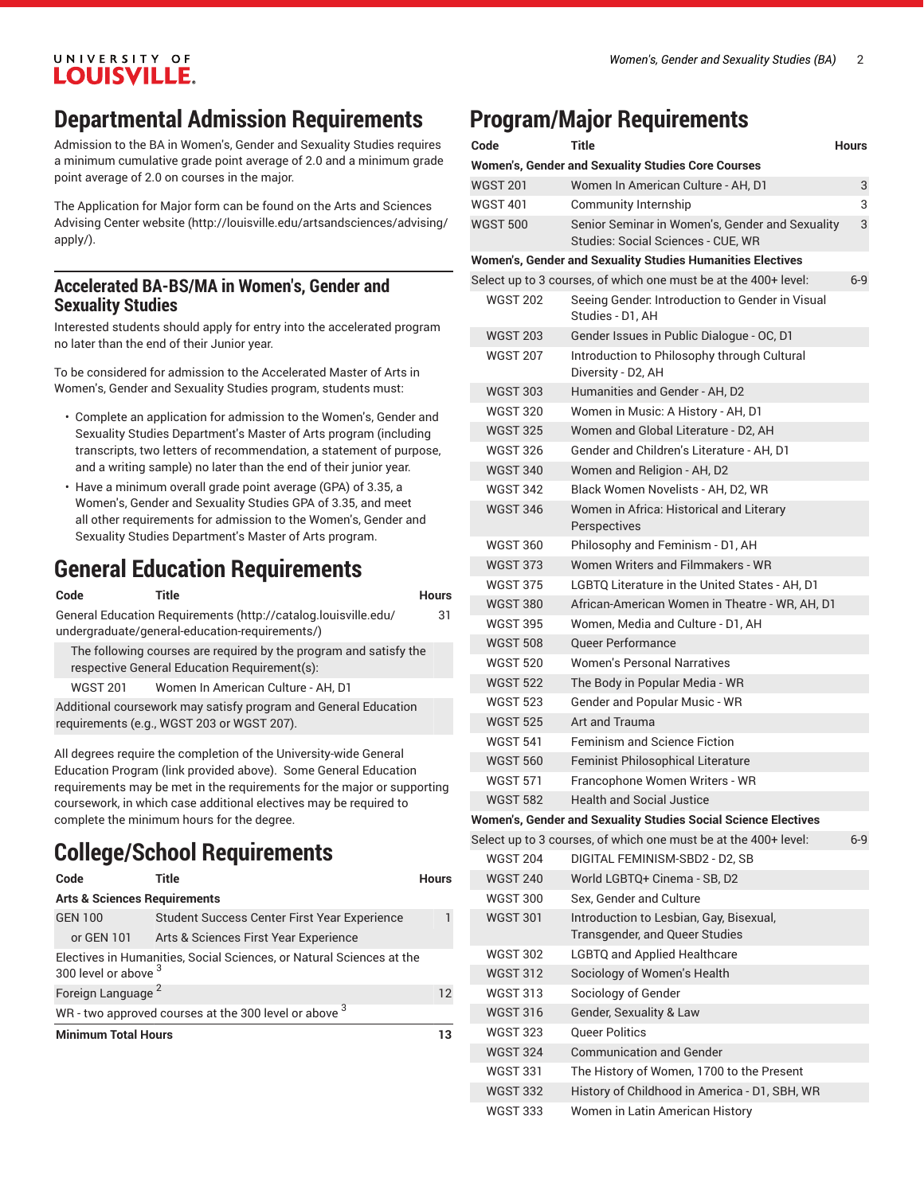### **Departmental Admission Requirements**

Admission to the BA in Women's, Gender and Sexuality Studies requires a minimum cumulative grade point average of 2.0 and a minimum grade point average of 2.0 on courses in the major.

The Application for Major form can be found on the Arts and [Sciences](http://louisville.edu/artsandsciences/advising/apply/) [Advising Center website \(http://louisville.edu/artsandsciences/advising/](http://louisville.edu/artsandsciences/advising/apply/) [apply/\)](http://louisville.edu/artsandsciences/advising/apply/).

### **Accelerated BA-BS/MA in Women's, Gender and Sexuality Studies**

Interested students should apply for entry into the accelerated program no later than the end of their Junior year.

To be considered for admission to the Accelerated Master of Arts in Women's, Gender and Sexuality Studies program, students must:

- Complete an application for admission to the Women's, Gender and Sexuality Studies Department's Master of Arts program (including transcripts, two letters of recommendation, a statement of purpose, and a writing sample) no later than the end of their junior year.
- Have a minimum overall grade point average (GPA) of 3.35, a Women's, Gender and Sexuality Studies GPA of 3.35, and meet all other requirements for admission to the Women's, Gender and Sexuality Studies Department's Master of Arts program.

# **General Education Requirements**

| Code            | Title                                                                                                                                                                                                                                                                                                                              | <b>Hours</b> |
|-----------------|------------------------------------------------------------------------------------------------------------------------------------------------------------------------------------------------------------------------------------------------------------------------------------------------------------------------------------|--------------|
|                 | General Education Requirements (http://catalog.louisville.edu/<br>undergraduate/general-education-requirements/)                                                                                                                                                                                                                   | 31           |
|                 | The following courses are required by the program and satisfy the<br>respective General Education Requirement(s):                                                                                                                                                                                                                  |              |
| <b>WGST 201</b> | Women In American Culture - AH. D1                                                                                                                                                                                                                                                                                                 |              |
|                 | Additional coursework may satisfy program and General Education<br>requirements (e.g., WGST 203 or WGST 207).                                                                                                                                                                                                                      |              |
|                 | All degrees require the completion of the University-wide General<br>Education Program (link provided above). Some General Education<br>requirements may be met in the requirements for the major or supporting<br>coursework, in which case additional electives may be required to<br>complete the minimum hours for the degree. |              |

# **College/School Requirements**

| Code                                    | Title                                                                | <b>Hours</b> |
|-----------------------------------------|----------------------------------------------------------------------|--------------|
| <b>Arts &amp; Sciences Requirements</b> |                                                                      |              |
| <b>GEN 100</b>                          | Student Success Center First Year Experience                         |              |
| or GEN 101                              | Arts & Sciences First Year Experience                                |              |
| 300 level or above 3                    | Electives in Humanities, Social Sciences, or Natural Sciences at the |              |
| Foreign Language <sup>2</sup>           |                                                                      | 12           |
|                                         | WR - two approved courses at the 300 level or above 3                |              |
| <b>Minimum Total Hours</b>              |                                                                      | 13           |

# **Program/Major Requirements**

| Code            | <b>Title</b>                                                                          | Hours |
|-----------------|---------------------------------------------------------------------------------------|-------|
|                 | <b>Women's, Gender and Sexuality Studies Core Courses</b>                             |       |
| <b>WGST 201</b> | Women In American Culture - AH, D1                                                    | 3     |
| WGST 401        | Community Internship                                                                  | 3     |
| <b>WGST 500</b> | Senior Seminar in Women's, Gender and Sexuality<br>Studies: Social Sciences - CUE. WR | 3     |
|                 | Women's, Gender and Sexuality Studies Humanities Electives                            |       |
|                 | Select up to 3 courses, of which one must be at the 400+ level:                       | $6-9$ |
| <b>WGST 202</b> | Seeing Gender. Introduction to Gender in Visual<br>Studies - D1. AH                   |       |
| <b>WGST 203</b> | Gender Issues in Public Dialogue - OC, D1                                             |       |
| <b>WGST 207</b> | Introduction to Philosophy through Cultural<br>Diversity - D2, AH                     |       |
| <b>WGST 303</b> | Humanities and Gender - AH. D2                                                        |       |
| <b>WGST 320</b> | Women in Music: A History - AH, D1                                                    |       |
| <b>WGST 325</b> | Women and Global Literature - D2, AH                                                  |       |
| <b>WGST 326</b> | Gender and Children's Literature - AH, D1                                             |       |
| <b>WGST 340</b> | Women and Religion - AH, D2                                                           |       |
| <b>WGST 342</b> | Black Women Novelists - AH. D2. WR                                                    |       |
| <b>WGST 346</b> | Women in Africa: Historical and Literary<br>Perspectives                              |       |
| <b>WGST 360</b> | Philosophy and Feminism - D1, AH                                                      |       |
| <b>WGST 373</b> | Women Writers and Filmmakers - WR                                                     |       |
| <b>WGST 375</b> | LGBTQ Literature in the United States - AH, D1                                        |       |
| <b>WGST 380</b> | African-American Women in Theatre - WR, AH, D1                                        |       |
| <b>WGST 395</b> | Women, Media and Culture - D1, AH                                                     |       |
| <b>WGST 508</b> | <b>Queer Performance</b>                                                              |       |
| <b>WGST 520</b> | <b>Women's Personal Narratives</b>                                                    |       |
| <b>WGST 522</b> | The Body in Popular Media - WR                                                        |       |
| <b>WGST 523</b> | Gender and Popular Music - WR                                                         |       |
| <b>WGST 525</b> | Art and Trauma                                                                        |       |
| <b>WGST 541</b> | <b>Feminism and Science Fiction</b>                                                   |       |
| <b>WGST 560</b> | <b>Feminist Philosophical Literature</b>                                              |       |
| <b>WGST 571</b> | Francophone Women Writers - WR                                                        |       |
| <b>WGST 582</b> | Health and Social Justice                                                             |       |
|                 | Women's, Gender and Sexuality Studies Social Science Electives                        |       |
|                 | Select up to 3 courses, of which one must be at the 400+ level:                       | $6-9$ |
| <b>WGST 204</b> | DIGITAL FEMINISM-SBD2 - D2, SB                                                        |       |
| <b>WGST 240</b> | World LGBTQ+ Cinema - SB, D2                                                          |       |
| <b>WGST 300</b> | Sex. Gender and Culture                                                               |       |
| <b>WGST 301</b> | Introduction to Lesbian, Gay, Bisexual,<br>Transgender, and Queer Studies             |       |
| <b>WGST 302</b> | <b>LGBTQ and Applied Healthcare</b>                                                   |       |
| <b>WGST 312</b> | Sociology of Women's Health                                                           |       |
| <b>WGST 313</b> | Sociology of Gender                                                                   |       |
| <b>WGST 316</b> | Gender, Sexuality & Law                                                               |       |
| <b>WGST 323</b> | <b>Queer Politics</b>                                                                 |       |
| <b>WGST 324</b> | <b>Communication and Gender</b>                                                       |       |
| <b>WGST 331</b> | The History of Women, 1700 to the Present                                             |       |
| <b>WGST 332</b> | History of Childhood in America - D1, SBH, WR                                         |       |
| <b>WGST 333</b> | Women in Latin American History                                                       |       |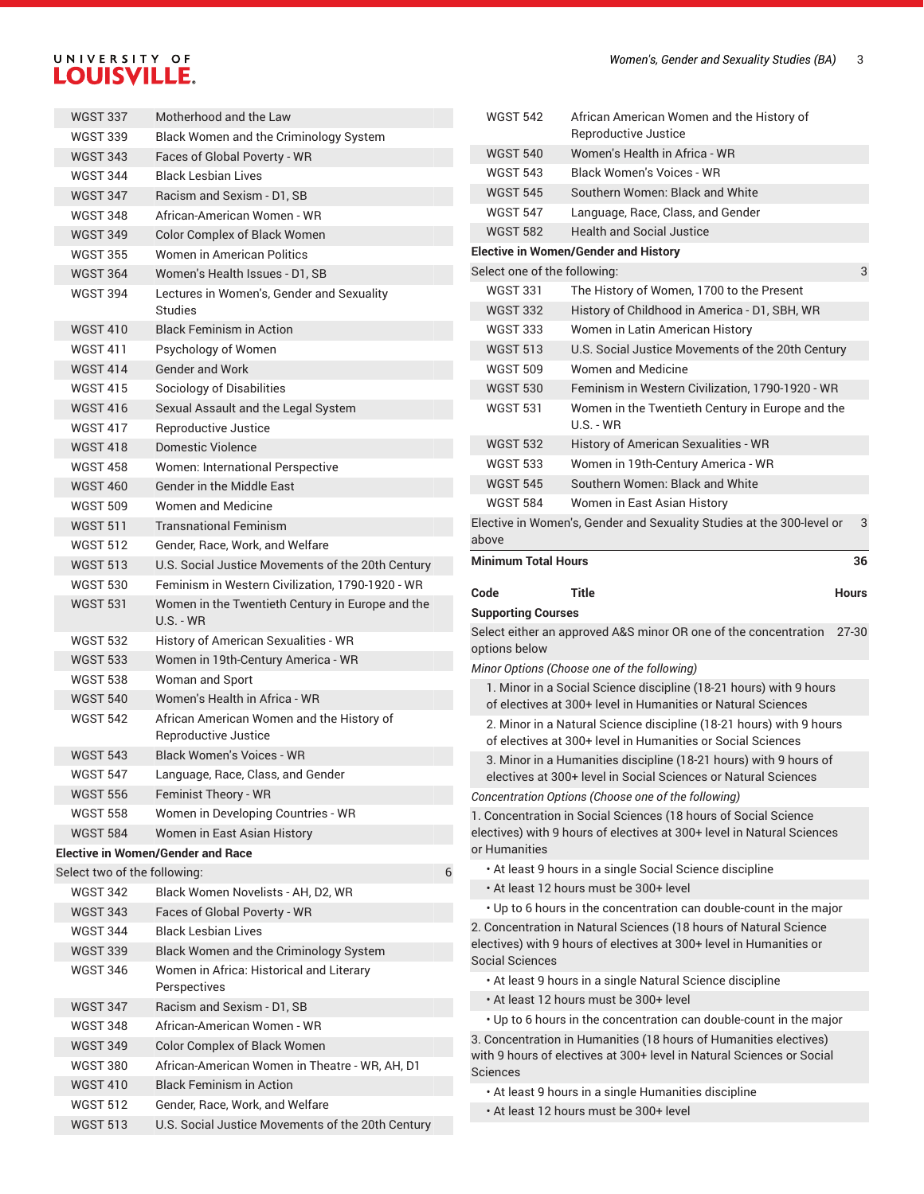| <b>WGST 337</b>              | Motherhood and the Law                            | <b>WGST 542</b>              | African American Women and the History of                                                                                                  |              |
|------------------------------|---------------------------------------------------|------------------------------|--------------------------------------------------------------------------------------------------------------------------------------------|--------------|
| <b>WGST 339</b>              | Black Women and the Criminology System            |                              | Reproductive Justice                                                                                                                       |              |
| <b>WGST 343</b>              | Faces of Global Poverty - WR                      | <b>WGST 540</b>              | Women's Health in Africa - WR                                                                                                              |              |
| <b>WGST 344</b>              | <b>Black Lesbian Lives</b>                        | <b>WGST 543</b>              | <b>Black Women's Voices - WR</b>                                                                                                           |              |
| <b>WGST 347</b>              | Racism and Sexism - D1, SB                        | <b>WGST 545</b>              | Southern Women: Black and White                                                                                                            |              |
| <b>WGST 348</b>              | African-American Women - WR                       | <b>WGST 547</b>              | Language, Race, Class, and Gender                                                                                                          |              |
| <b>WGST 349</b>              | Color Complex of Black Women                      | <b>WGST 582</b>              | <b>Health and Social Justice</b>                                                                                                           |              |
| <b>WGST 355</b>              | Women in American Politics                        |                              | <b>Elective in Women/Gender and History</b>                                                                                                |              |
| <b>WGST 364</b>              | Women's Health Issues - D1, SB                    | Select one of the following: |                                                                                                                                            | 3            |
| <b>WGST 394</b>              | Lectures in Women's, Gender and Sexuality         | <b>WGST 331</b>              | The History of Women, 1700 to the Present                                                                                                  |              |
|                              | <b>Studies</b>                                    | <b>WGST 332</b>              | History of Childhood in America - D1, SBH, WR                                                                                              |              |
| <b>WGST 410</b>              | <b>Black Feminism in Action</b>                   | <b>WGST 333</b>              | Women in Latin American History                                                                                                            |              |
| <b>WGST 411</b>              | Psychology of Women                               | <b>WGST 513</b>              | U.S. Social Justice Movements of the 20th Century                                                                                          |              |
| <b>WGST 414</b>              | <b>Gender and Work</b>                            | <b>WGST 509</b>              | <b>Women and Medicine</b>                                                                                                                  |              |
| <b>WGST 415</b>              | Sociology of Disabilities                         | <b>WGST 530</b>              | Feminism in Western Civilization, 1790-1920 - WR                                                                                           |              |
| <b>WGST 416</b>              | Sexual Assault and the Legal System               | <b>WGST 531</b>              | Women in the Twentieth Century in Europe and the                                                                                           |              |
| <b>WGST 417</b>              | <b>Reproductive Justice</b>                       |                              | $U.S. - WR$                                                                                                                                |              |
| <b>WGST 418</b>              | Domestic Violence                                 | <b>WGST 532</b>              | History of American Sexualities - WR                                                                                                       |              |
| <b>WGST 458</b>              | Women: International Perspective                  | <b>WGST 533</b>              | Women in 19th-Century America - WR                                                                                                         |              |
| <b>WGST 460</b>              | Gender in the Middle East                         | <b>WGST 545</b>              | Southern Women: Black and White                                                                                                            |              |
| <b>WGST 509</b>              | <b>Women and Medicine</b>                         | <b>WGST 584</b>              | Women in East Asian History                                                                                                                |              |
| <b>WGST 511</b>              | <b>Transnational Feminism</b>                     |                              | Elective in Women's, Gender and Sexuality Studies at the 300-level or                                                                      | 3            |
| <b>WGST 512</b>              | Gender, Race, Work, and Welfare                   | above                        |                                                                                                                                            |              |
| <b>WGST 513</b>              | U.S. Social Justice Movements of the 20th Century | <b>Minimum Total Hours</b>   |                                                                                                                                            | 36           |
| <b>WGST 530</b>              | Feminism in Western Civilization, 1790-1920 - WR  |                              |                                                                                                                                            |              |
| <b>WGST 531</b>              | Women in the Twentieth Century in Europe and the  | Code                         | <b>Title</b>                                                                                                                               | <b>Hours</b> |
|                              |                                                   |                              |                                                                                                                                            |              |
|                              | <b>U.S. - WR</b>                                  | <b>Supporting Courses</b>    |                                                                                                                                            |              |
| <b>WGST 532</b>              | History of American Sexualities - WR              |                              | Select either an approved A&S minor OR one of the concentration                                                                            | 27-30        |
| <b>WGST 533</b>              | Women in 19th-Century America - WR                | options below                |                                                                                                                                            |              |
| <b>WGST 538</b>              | Woman and Sport                                   |                              | Minor Options (Choose one of the following)                                                                                                |              |
| <b>WGST 540</b>              | Women's Health in Africa - WR                     |                              | 1. Minor in a Social Science discipline (18-21 hours) with 9 hours<br>of electives at 300+ level in Humanities or Natural Sciences         |              |
| <b>WGST 542</b>              | African American Women and the History of         |                              | 2. Minor in a Natural Science discipline (18-21 hours) with 9 hours                                                                        |              |
|                              | Reproductive Justice                              |                              | of electives at 300+ level in Humanities or Social Sciences                                                                                |              |
| <b>WGST 543</b>              | <b>Black Women's Voices - WR</b>                  |                              | 3. Minor in a Humanities discipline (18-21 hours) with 9 hours of                                                                          |              |
| <b>WGST 547</b>              | Language, Race, Class, and Gender                 |                              | electives at 300+ level in Social Sciences or Natural Sciences                                                                             |              |
| <b>WGST 556</b>              | Feminist Theory - WR                              |                              | Concentration Options (Choose one of the following)                                                                                        |              |
| <b>WGST 558</b>              | Women in Developing Countries - WR                |                              | 1. Concentration in Social Sciences (18 hours of Social Science                                                                            |              |
| <b>WGST 584</b>              | Women in East Asian History                       |                              | electives) with 9 hours of electives at 300+ level in Natural Sciences                                                                     |              |
|                              | <b>Elective in Women/Gender and Race</b>          | or Humanities                |                                                                                                                                            |              |
| Select two of the following: | 6                                                 |                              | • At least 9 hours in a single Social Science discipline                                                                                   |              |
| <b>WGST 342</b>              | Black Women Novelists - AH, D2, WR                |                              | . At least 12 hours must be 300+ level                                                                                                     |              |
| <b>WGST 343</b>              | Faces of Global Poverty - WR                      |                              | . Up to 6 hours in the concentration can double-count in the major                                                                         |              |
| <b>WGST 344</b>              | <b>Black Lesbian Lives</b>                        |                              | 2. Concentration in Natural Sciences (18 hours of Natural Science                                                                          |              |
| <b>WGST 339</b>              | Black Women and the Criminology System            |                              | electives) with 9 hours of electives at 300+ level in Humanities or                                                                        |              |
| <b>WGST 346</b>              | Women in Africa: Historical and Literary          | <b>Social Sciences</b>       |                                                                                                                                            |              |
|                              | Perspectives                                      |                              | • At least 9 hours in a single Natural Science discipline                                                                                  |              |
| <b>WGST 347</b>              | Racism and Sexism - D1, SB                        |                              | . At least 12 hours must be 300+ level                                                                                                     |              |
| <b>WGST 348</b>              | African-American Women - WR                       |                              | • Up to 6 hours in the concentration can double-count in the major                                                                         |              |
| <b>WGST 349</b>              | <b>Color Complex of Black Women</b>               |                              | 3. Concentration in Humanities (18 hours of Humanities electives)<br>with 9 hours of electives at 300+ level in Natural Sciences or Social |              |
| <b>WGST 380</b>              | African-American Women in Theatre - WR, AH, D1    | Sciences                     |                                                                                                                                            |              |
| <b>WGST 410</b>              | <b>Black Feminism in Action</b>                   |                              | • At least 9 hours in a single Humanities discipline                                                                                       |              |
| <b>WGST 512</b>              | Gender, Race, Work, and Welfare                   |                              | . At least 12 hours must be 300+ level                                                                                                     |              |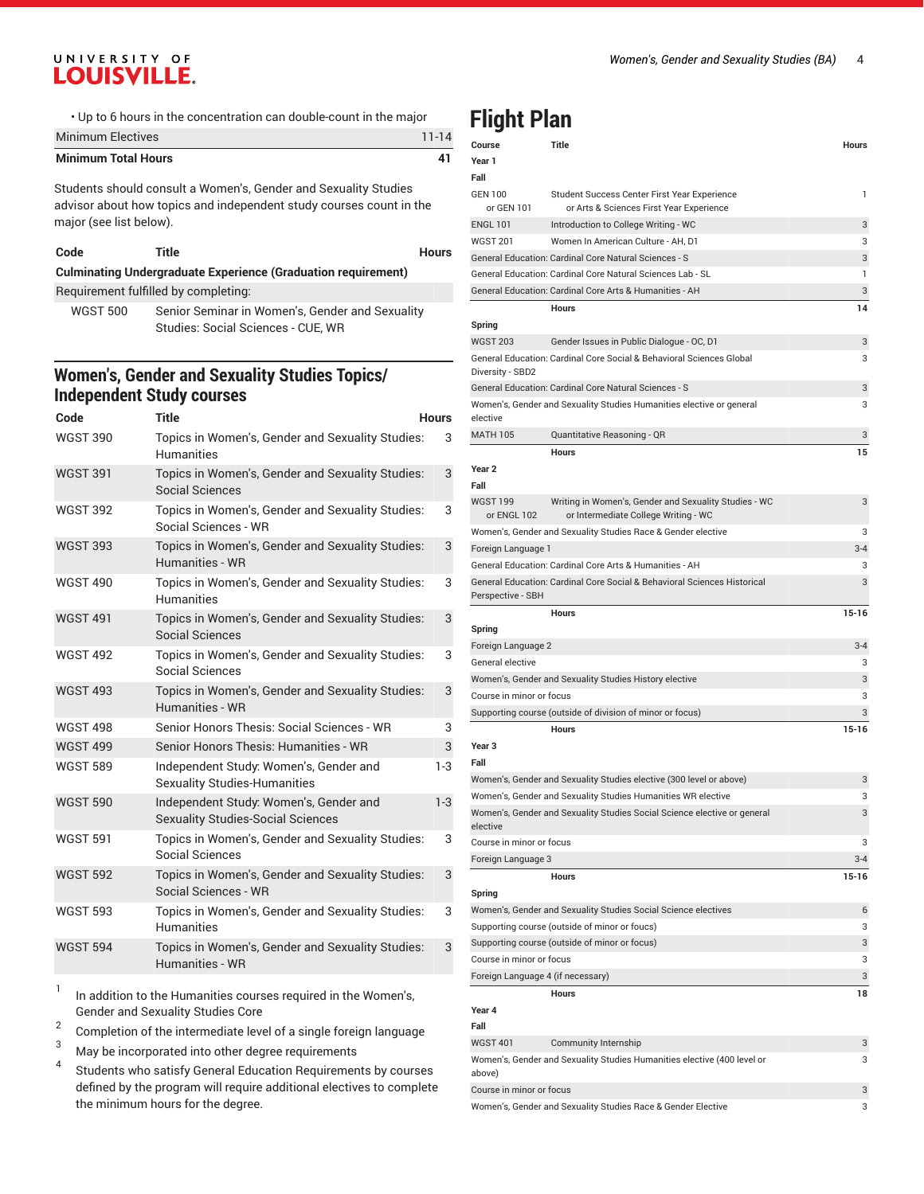• Up to 6 hours in the concentration can double-count in the major

| <b>Minimum Electives</b>   | $11 - 14$ |
|----------------------------|-----------|
| <b>Minimum Total Hours</b> |           |

Students should consult a Women's, Gender and Sexuality Studies advisor about how topics and independent study courses count in the major (see list below).

| .nn |  |
|-----|--|
|-----|--|

**Code Title Hours**

| <b>Culminating Undergraduate Experience (Graduation requirement)</b> |  |
|----------------------------------------------------------------------|--|
|----------------------------------------------------------------------|--|

Requirement fulfilled by completing: WGST 500 Senior Seminar in Women's, Gender and Sexuality Studies: Social Sciences - CUE, WR

### **Women's, Gender and Sexuality Studies Topics/ Independent Study courses**

| Code            | <b>Title</b>                                                                       | <b>Hours</b> |
|-----------------|------------------------------------------------------------------------------------|--------------|
| <b>WGST 390</b> | Topics in Women's, Gender and Sexuality Studies:<br><b>Humanities</b>              | 3            |
| <b>WGST 391</b> | Topics in Women's, Gender and Sexuality Studies:<br>Social Sciences                | 3            |
| <b>WGST 392</b> | Topics in Women's, Gender and Sexuality Studies:<br>Social Sciences - WR           | 3            |
| <b>WGST 393</b> | Topics in Women's, Gender and Sexuality Studies:<br><b>Humanities - WR</b>         | 3            |
| <b>WGST 490</b> | Topics in Women's, Gender and Sexuality Studies:<br><b>Humanities</b>              | 3            |
| <b>WGST 491</b> | Topics in Women's, Gender and Sexuality Studies:<br><b>Social Sciences</b>         | 3            |
| <b>WGST 492</b> | Topics in Women's, Gender and Sexuality Studies:<br>Social Sciences                | 3            |
| <b>WGST 493</b> | Topics in Women's, Gender and Sexuality Studies:<br>Humanities - WR                | 3            |
| <b>WGST 498</b> | Senior Honors Thesis: Social Sciences - WR                                         | 3            |
| <b>WGST 499</b> | Senior Honors Thesis: Humanities - WR                                              | 3            |
| <b>WGST 589</b> | Independent Study: Women's, Gender and<br><b>Sexuality Studies-Humanities</b>      | $1-3$        |
| <b>WGST 590</b> | Independent Study: Women's, Gender and<br><b>Sexuality Studies-Social Sciences</b> | $1-3$        |
| <b>WGST 591</b> | Topics in Women's, Gender and Sexuality Studies:<br>Social Sciences                | 3            |
| <b>WGST 592</b> | Topics in Women's, Gender and Sexuality Studies:<br>Social Sciences - WR           | 3            |
| <b>WGST 593</b> | Topics in Women's, Gender and Sexuality Studies:<br><b>Humanities</b>              | 3            |
| <b>WGST 594</b> | Topics in Women's, Gender and Sexuality Studies:<br>Humanities - WR                | 3            |

1 In addition to the Humanities courses required in the Women's, Gender and Sexuality Studies Core

2 Completion of the intermediate level of a single foreign language

<sup>3</sup> May be incorporated into other degree requirements

4 Students who satisfy General Education Requirements by courses defined by the program will require additional electives to complete the minimum hours for the degree.

# **Flight Plan**

| Course                            | Title                                                                                    | Hours     |
|-----------------------------------|------------------------------------------------------------------------------------------|-----------|
| Year 1                            |                                                                                          |           |
| Fall                              |                                                                                          |           |
| <b>GEN 100</b><br>or GEN 101      | Student Success Center First Year Experience<br>or Arts & Sciences First Year Experience | 1         |
| <b>ENGL 101</b>                   | Introduction to College Writing - WC                                                     | 3         |
| <b>WGST 201</b>                   | Women In American Culture - AH, D1                                                       | 3         |
|                                   | General Education: Cardinal Core Natural Sciences - S                                    | 3         |
|                                   | General Education: Cardinal Core Natural Sciences Lab - SL                               | 1         |
|                                   | General Education: Cardinal Core Arts & Humanities - AH                                  | 3         |
|                                   | <b>Hours</b>                                                                             | 14        |
| Spring                            |                                                                                          |           |
| <b>WGST 203</b>                   | Gender Issues in Public Dialogue - OC, D1                                                | 3         |
| Diversity - SBD2                  | General Education: Cardinal Core Social & Behavioral Sciences Global                     | 3         |
|                                   | General Education: Cardinal Core Natural Sciences - S                                    | 3         |
| elective                          | Women's, Gender and Sexuality Studies Humanities elective or general                     | 3         |
| <b>MATH 105</b>                   | Quantitative Reasoning - QR                                                              | 3         |
|                                   | <b>Hours</b>                                                                             | 15        |
| Year 2<br>Fall                    |                                                                                          |           |
| <b>WGST 199</b>                   | Writing in Women's, Gender and Sexuality Studies - WC                                    | 3         |
| or ENGL 102                       | or Intermediate College Writing - WC                                                     |           |
|                                   | Women's, Gender and Sexuality Studies Race & Gender elective                             | 3         |
| Foreign Language 1                |                                                                                          | 3-4       |
|                                   | General Education: Cardinal Core Arts & Humanities - AH                                  | 3         |
| Perspective - SBH                 | General Education: Cardinal Core Social & Behavioral Sciences Historical                 | 3         |
|                                   | <b>Hours</b>                                                                             | $15 - 16$ |
| Spring                            |                                                                                          |           |
| Foreign Language 2                |                                                                                          | $3 - 4$   |
| General elective                  |                                                                                          | 3         |
|                                   | Women's, Gender and Sexuality Studies History elective                                   | 3         |
| Course in minor or focus          |                                                                                          | 3         |
|                                   | Supporting course (outside of division of minor or focus)                                | 3         |
|                                   | <b>Hours</b>                                                                             | $15 - 16$ |
| Year <sub>3</sub>                 |                                                                                          |           |
| Fall                              |                                                                                          |           |
|                                   | Women's, Gender and Sexuality Studies elective (300 level or above)                      | 3         |
|                                   | Women's, Gender and Sexuality Studies Humanities WR elective                             | 3         |
| elective                          | Women's, Gender and Sexuality Studies Social Science elective or general                 | 3         |
| Course in minor or focus          |                                                                                          | 3         |
| Foreign Language 3                |                                                                                          | $3 - 4$   |
|                                   | Hours                                                                                    | $15 - 16$ |
| Spring                            |                                                                                          |           |
|                                   | Women's, Gender and Sexuality Studies Social Science electives                           | 6         |
|                                   | Supporting course (outside of minor or foucs)                                            | 3         |
|                                   | Supporting course (outside of minor or focus)                                            | 3         |
| Course in minor or focus          |                                                                                          | 3         |
| Foreign Language 4 (if necessary) |                                                                                          | 3         |
|                                   | Hours                                                                                    | 18        |
| Year 4<br>Fall                    |                                                                                          |           |
| <b>WGST 401</b>                   | Community Internship                                                                     | 3         |
| above)                            | Women's, Gender and Sexuality Studies Humanities elective (400 level or                  | 3         |
| Course in minor or focus          |                                                                                          | 3         |
|                                   | Women's, Gender and Sexuality Studies Race & Gender Elective                             | 3         |